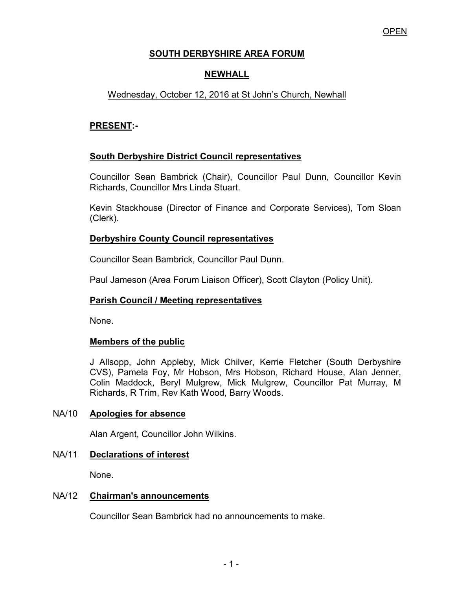# **SOUTH DERBYSHIRE AREA FORUM**

# **NEWHALL**

# Wednesday, October 12, 2016 at St John's Church, Newhall

### **PRESENT:-**

## **South Derbyshire District Council representatives**

 Councillor Sean Bambrick (Chair), Councillor Paul Dunn, Councillor Kevin Richards, Councillor Mrs Linda Stuart.

Kevin Stackhouse (Director of Finance and Corporate Services), Tom Sloan (Clerk).

### **Derbyshire County Council representatives**

Councillor Sean Bambrick, Councillor Paul Dunn.

Paul Jameson (Area Forum Liaison Officer), Scott Clayton (Policy Unit).

## **Parish Council / Meeting representatives**

None.

#### **Members of the public**

 J Allsopp, John Appleby, Mick Chilver, Kerrie Fletcher (South Derbyshire CVS), Pamela Foy, Mr Hobson, Mrs Hobson, Richard House, Alan Jenner, Colin Maddock, Beryl Mulgrew, Mick Mulgrew, Councillor Pat Murray, M Richards, R Trim, Rev Kath Wood, Barry Woods.

#### NA/10 **Apologies for absence**

Alan Argent, Councillor John Wilkins.

#### NA/11 **Declarations of interest**

None.

#### NA/12 **Chairman's announcements**

Councillor Sean Bambrick had no announcements to make.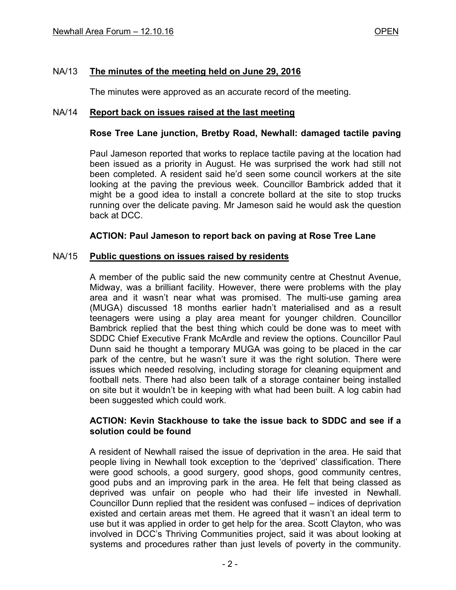### NA/13 **The minutes of the meeting held on June 29, 2016**

The minutes were approved as an accurate record of the meeting.

#### NA/14 **Report back on issues raised at the last meeting**

#### **Rose Tree Lane junction, Bretby Road, Newhall: damaged tactile paving**

Paul Jameson reported that works to replace tactile paving at the location had been issued as a priority in August. He was surprised the work had still not been completed. A resident said he'd seen some council workers at the site looking at the paving the previous week. Councillor Bambrick added that it might be a good idea to install a concrete bollard at the site to stop trucks running over the delicate paving. Mr Jameson said he would ask the question back at DCC.

#### **ACTION: Paul Jameson to report back on paving at Rose Tree Lane**

#### NA/15 **Public questions on issues raised by residents**

 A member of the public said the new community centre at Chestnut Avenue, Midway, was a brilliant facility. However, there were problems with the play area and it wasn't near what was promised. The multi-use gaming area (MUGA) discussed 18 months earlier hadn't materialised and as a result teenagers were using a play area meant for younger children. Councillor Bambrick replied that the best thing which could be done was to meet with SDDC Chief Executive Frank McArdle and review the options. Councillor Paul Dunn said he thought a temporary MUGA was going to be placed in the car park of the centre, but he wasn't sure it was the right solution. There were issues which needed resolving, including storage for cleaning equipment and football nets. There had also been talk of a storage container being installed on site but it wouldn't be in keeping with what had been built. A log cabin had been suggested which could work.

#### **ACTION: Kevin Stackhouse to take the issue back to SDDC and see if a solution could be found**

 A resident of Newhall raised the issue of deprivation in the area. He said that people living in Newhall took exception to the 'deprived' classification. There were good schools, a good surgery, good shops, good community centres, good pubs and an improving park in the area. He felt that being classed as deprived was unfair on people who had their life invested in Newhall. Councillor Dunn replied that the resident was confused – indices of deprivation existed and certain areas met them. He agreed that it wasn't an ideal term to use but it was applied in order to get help for the area. Scott Clayton, who was involved in DCC's Thriving Communities project, said it was about looking at systems and procedures rather than just levels of poverty in the community.